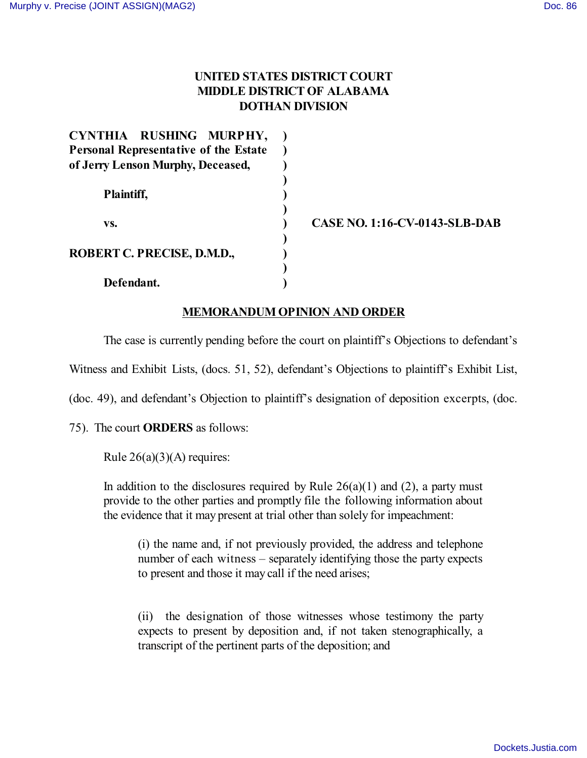# **UNITED STATES DISTRICT COURT MIDDLE DISTRICT OF ALABAMA DOTHAN DIVISION**

| CYNTHIA RUSHING MURPHY,                      |  |
|----------------------------------------------|--|
| <b>Personal Representative of the Estate</b> |  |
| of Jerry Lenson Murphy, Deceased,            |  |
|                                              |  |
| Plaintiff,                                   |  |
|                                              |  |
| VS.                                          |  |
|                                              |  |
| ROBERT C. PRECISE, D.M.D.,                   |  |
|                                              |  |
| Defendant.                                   |  |

**CASE NO. 1:16-CV-0143-SLB-DAB**

# **MEMORANDUM OPINION AND ORDER**

The case is currently pending before the court on plaintiff's Objections to defendant's

Witness and Exhibit Lists, (docs. 51, 52), defendant's Objections to plaintiff's Exhibit List,

(doc. 49), and defendant's Objection to plaintiff's designation of deposition excerpts, (doc.

75). The court **ORDERS** as follows:

Rule  $26(a)(3)(A)$  requires:

In addition to the disclosures required by Rule  $26(a)(1)$  and (2), a party must provide to the other parties and promptly file the following information about the evidence that it may present at trial other than solely for impeachment:

(i) the name and, if not previously provided, the address and telephone number of each witness – separately identifying those the party expects to present and those it may call if the need arises;

(ii) the designation of those witnesses whose testimony the party expects to present by deposition and, if not taken stenographically, a transcript of the pertinent parts of the deposition; and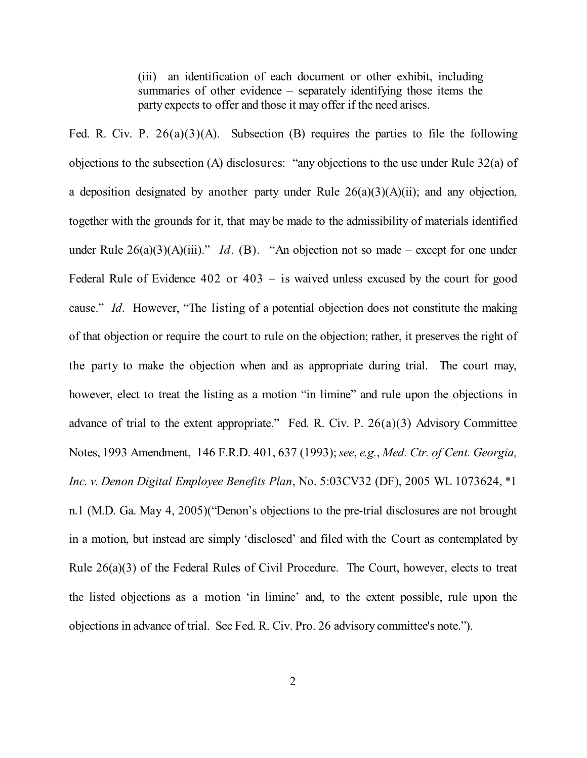(iii) an identification of each document or other exhibit, including summaries of other evidence – separately identifying those items the party expects to offer and those it may offer if the need arises.

Fed. R. Civ. P.  $26(a)(3)(A)$ . Subsection (B) requires the parties to file the following objections to the subsection (A) disclosures: "any objections to the use under Rule 32(a) of a deposition designated by another party under Rule  $26(a)(3)(A)(ii)$ ; and any objection, together with the grounds for it, that may be made to the admissibility of materials identified under Rule  $26(a)(3)(A)(iii)$ ." *Id.* (B). "An objection not so made – except for one under Federal Rule of Evidence 402 or 403 – is waived unless excused by the court for good cause." *Id*. However, "The listing of a potential objection does not constitute the making of that objection or require the court to rule on the objection; rather, it preserves the right of the party to make the objection when and as appropriate during trial. The court may, however, elect to treat the listing as a motion "in limine" and rule upon the objections in advance of trial to the extent appropriate." Fed. R. Civ. P.  $26(a)(3)$  Advisory Committee Notes, 1993 Amendment, 146 F.R.D. 401, 637 (1993); *see*, *e.g.*, *Med. Ctr. of Cent. Georgia, Inc. v. Denon Digital Employee Benefits Plan*, No. 5:03CV32 (DF), 2005 WL 1073624, \*1 n.1 (M.D. Ga. May 4, 2005)("Denon's objections to the pre-trial disclosures are not brought in a motion, but instead are simply 'disclosed' and filed with the Court as contemplated by Rule 26(a)(3) of the Federal Rules of Civil Procedure. The Court, however, elects to treat the listed objections as a motion 'in limine' and, to the extent possible, rule upon the objections in advance of trial. See Fed. R. Civ. Pro. 26 advisory committee's note.").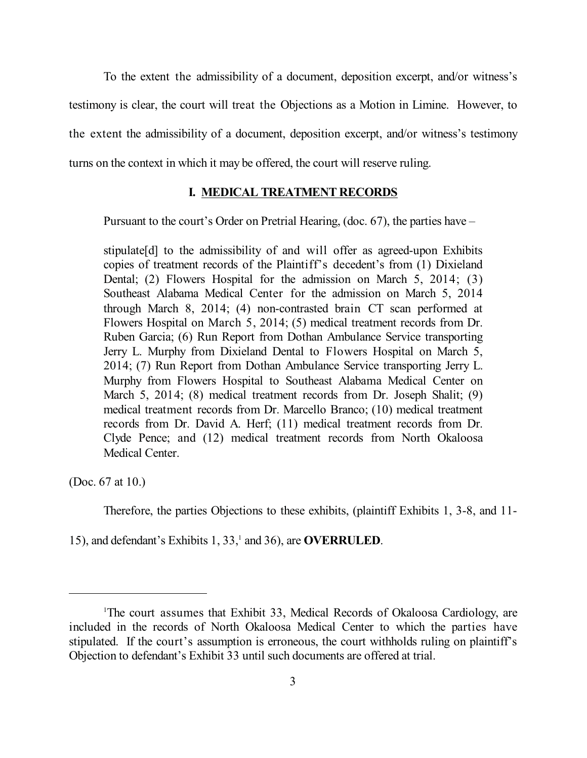To the extent the admissibility of a document, deposition excerpt, and/or witness's testimony is clear, the court will treat the Objections as a Motion in Limine. However, to the extent the admissibility of a document, deposition excerpt, and/or witness's testimony turns on the context in which it may be offered, the court will reserve ruling.

#### **I. MEDICAL TREATMENT RECORDS**

Pursuant to the court's Order on Pretrial Hearing, (doc. 67), the parties have –

stipulate[d] to the admissibility of and will offer as agreed-upon Exhibits copies of treatment records of the Plaintiff's decedent's from (1) Dixieland Dental; (2) Flowers Hospital for the admission on March 5, 2014; (3) Southeast Alabama Medical Center for the admission on March 5, 2014 through March 8, 2014; (4) non-contrasted brain CT scan performed at Flowers Hospital on March 5, 2014; (5) medical treatment records from Dr. Ruben Garcia; (6) Run Report from Dothan Ambulance Service transporting Jerry L. Murphy from Dixieland Dental to Flowers Hospital on March 5, 2014; (7) Run Report from Dothan Ambulance Service transporting Jerry L. Murphy from Flowers Hospital to Southeast Alabama Medical Center on March 5, 2014; (8) medical treatment records from Dr. Joseph Shalit; (9) medical treatment records from Dr. Marcello Branco; (10) medical treatment records from Dr. David A. Herf; (11) medical treatment records from Dr. Clyde Pence; and (12) medical treatment records from North Okaloosa Medical Center.

(Doc. 67 at 10.)

Therefore, the parties Objections to these exhibits, (plaintiff Exhibits 1, 3-8, and 11-

15), and defendant's Exhibits 1, 33,<sup>1</sup> and 36), are **OVERRULED**.

<sup>1</sup> The court assumes that Exhibit 33, Medical Records of Okaloosa Cardiology, are included in the records of North Okaloosa Medical Center to which the parties have stipulated. If the court's assumption is erroneous, the court withholds ruling on plaintiff's Objection to defendant's Exhibit 33 until such documents are offered at trial.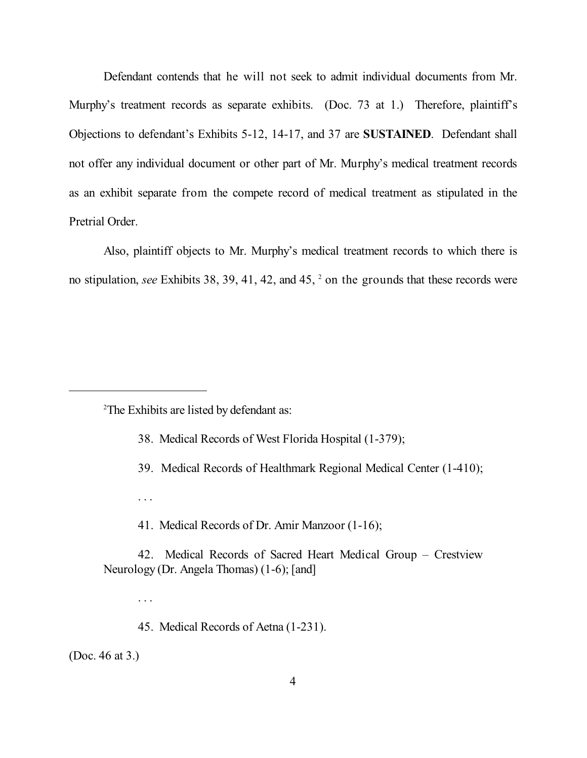Defendant contends that he will not seek to admit individual documents from Mr. Murphy's treatment records as separate exhibits. (Doc. 73 at 1.) Therefore, plaintiff's Objections to defendant's Exhibits 5-12, 14-17, and 37 are **SUSTAINED**. Defendant shall not offer any individual document or other part of Mr. Murphy's medical treatment records as an exhibit separate from the compete record of medical treatment as stipulated in the Pretrial Order.

Also, plaintiff objects to Mr. Murphy's medical treatment records to which there is no stipulation, *see* Exhibits 38, 39, 41, 42, and 45, <sup>2</sup> on the grounds that these records were

2 The Exhibits are listed by defendant as:

. . .

. . .

- 38. Medical Records of West Florida Hospital (1-379);
- 39. Medical Records of Healthmark Regional Medical Center (1-410);
- 41. Medical Records of Dr. Amir Manzoor (1-16);
- 42. Medical Records of Sacred Heart Medical Group Crestview Neurology (Dr. Angela Thomas) (1-6); [and]
	- 45. Medical Records of Aetna (1-231).

(Doc. 46 at 3.)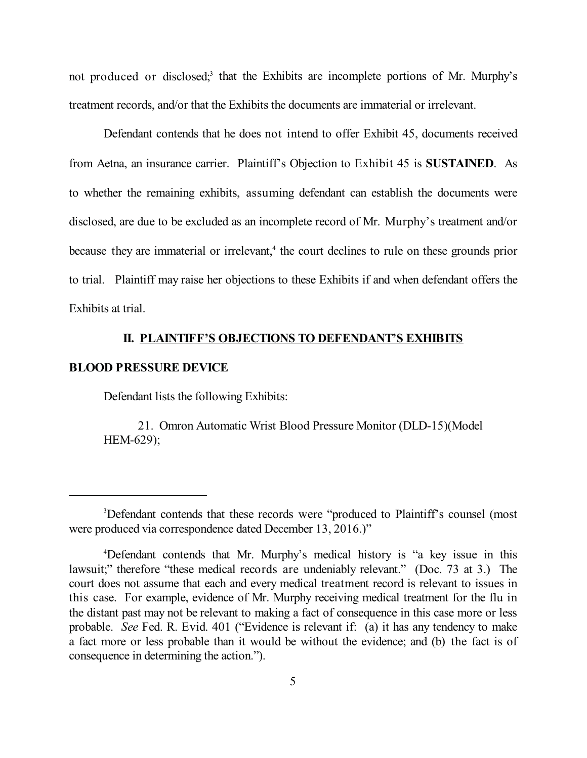not produced or disclosed;<sup>3</sup> that the Exhibits are incomplete portions of Mr. Murphy's treatment records, and/or that the Exhibits the documents are immaterial or irrelevant.

Defendant contends that he does not intend to offer Exhibit 45, documents received from Aetna, an insurance carrier. Plaintiff's Objection to Exhibit 45 is **SUSTAINED**. As to whether the remaining exhibits, assuming defendant can establish the documents were disclosed, are due to be excluded as an incomplete record of Mr. Murphy's treatment and/or because they are immaterial or irrelevant,<sup>4</sup> the court declines to rule on these grounds prior to trial. Plaintiff may raise her objections to these Exhibits if and when defendant offers the Exhibits at trial.

## **II. PLAINTIFF'S OBJECTIONS TO DEFENDANT'S EXHIBITS**

#### **BLOOD PRESSURE DEVICE**

Defendant lists the following Exhibits:

21. Omron Automatic Wrist Blood Pressure Monitor (DLD-15)(Model HEM-629);

<sup>3</sup> Defendant contends that these records were "produced to Plaintiff's counsel (most were produced via correspondence dated December 13, 2016.)"

<sup>4</sup> Defendant contends that Mr. Murphy's medical history is "a key issue in this lawsuit;" therefore "these medical records are undeniably relevant." (Doc. 73 at 3.) The court does not assume that each and every medical treatment record is relevant to issues in this case. For example, evidence of Mr. Murphy receiving medical treatment for the flu in the distant past may not be relevant to making a fact of consequence in this case more or less probable. *See* Fed. R. Evid. 401 ("Evidence is relevant if: (a) it has any tendency to make a fact more or less probable than it would be without the evidence; and (b) the fact is of consequence in determining the action.").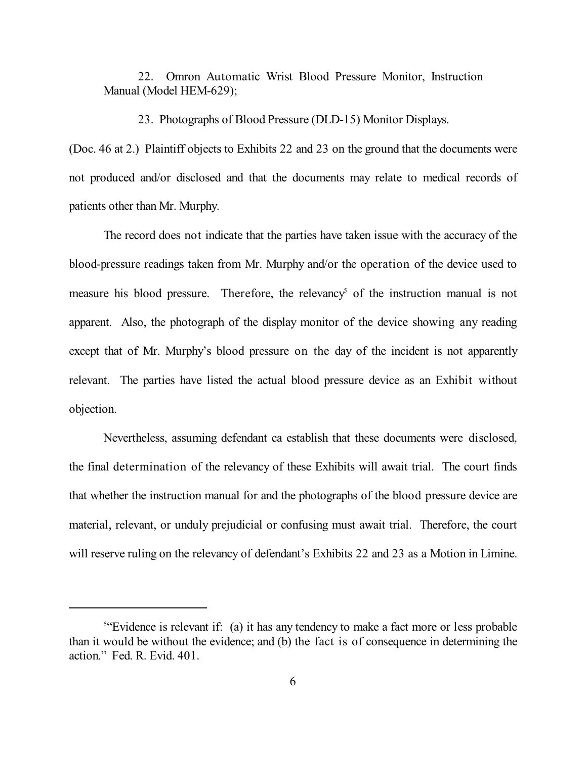22. Omron Automatic Wrist Blood Pressure Monitor, Instruction Manual (Model HEM-629);

23. Photographs of Blood Pressure (DLD-15) Monitor Displays.

(Doc. 46 at 2.) Plaintiff objects to Exhibits 22 and 23 on the ground that the documents were not produced and/or disclosed and that the documents may relate to medical records of patients other than Mr. Murphy.

The record does not indicate that the parties have taken issue with the accuracy of the blood-pressure readings taken from Mr. Murphy and/or the operation of the device used to measure his blood pressure. Therefore, the relevancy<sup>5</sup> of the instruction manual is not apparent. Also, the photograph of the display monitor of the device showing any reading except that of Mr. Murphy's blood pressure on the day of the incident is not apparently relevant. The parties have listed the actual blood pressure device as an Exhibit without objection.

Nevertheless, assuming defendant ca establish that these documents were disclosed, the final determination of the relevancy of these Exhibits will await trial. The court finds that whether the instruction manual for and the photographs of the blood pressure device are material, relevant, or unduly prejudicial or confusing must await trial. Therefore, the court will reserve ruling on the relevancy of defendant's Exhibits 22 and 23 as a Motion in Limine.

<sup>&</sup>lt;sup>5"</sup>Evidence is relevant if: (a) it has any tendency to make a fact more or less probable than it would be without the evidence; and (b) the fact is of consequence in determining the action." Fed. R. Evid. 401.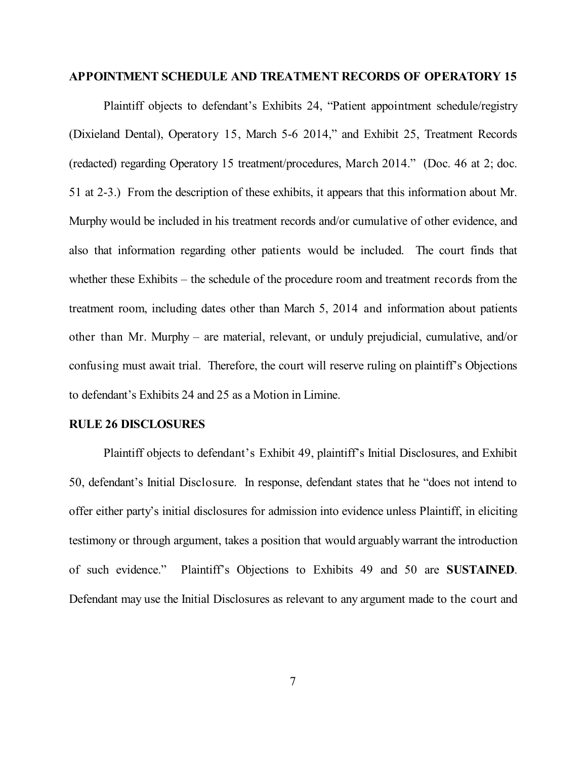#### **APPOINTMENT SCHEDULE AND TREATMENT RECORDS OF OPERATORY 15**

Plaintiff objects to defendant's Exhibits 24, "Patient appointment schedule/registry (Dixieland Dental), Operatory 15, March 5-6 2014," and Exhibit 25, Treatment Records (redacted) regarding Operatory 15 treatment/procedures, March 2014." (Doc. 46 at 2; doc. 51 at 2-3.) From the description of these exhibits, it appears that this information about Mr. Murphy would be included in his treatment records and/or cumulative of other evidence, and also that information regarding other patients would be included. The court finds that whether these Exhibits – the schedule of the procedure room and treatment records from the treatment room, including dates other than March 5, 2014 and information about patients other than Mr. Murphy – are material, relevant, or unduly prejudicial, cumulative, and/or confusing must await trial. Therefore, the court will reserve ruling on plaintiff's Objections to defendant's Exhibits 24 and 25 as a Motion in Limine.

#### **RULE 26 DISCLOSURES**

Plaintiff objects to defendant's Exhibit 49, plaintiff's Initial Disclosures, and Exhibit 50, defendant's Initial Disclosure. In response, defendant states that he "does not intend to offer either party's initial disclosures for admission into evidence unless Plaintiff, in eliciting testimony or through argument, takes a position that would arguably warrant the introduction of such evidence." Plaintiff's Objections to Exhibits 49 and 50 are **SUSTAINED**. Defendant may use the Initial Disclosures as relevant to any argument made to the court and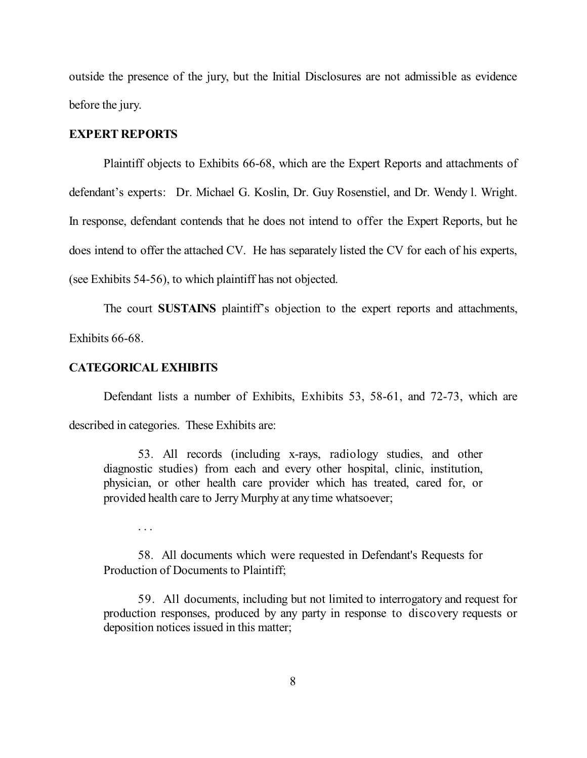outside the presence of the jury, but the Initial Disclosures are not admissible as evidence before the jury.

#### **EXPERT REPORTS**

Plaintiff objects to Exhibits 66-68, which are the Expert Reports and attachments of defendant's experts: Dr. Michael G. Koslin, Dr. Guy Rosenstiel, and Dr. Wendy l. Wright. In response, defendant contends that he does not intend to offer the Expert Reports, but he does intend to offer the attached CV. He has separately listed the CV for each of his experts, (see Exhibits 54-56), to which plaintiff has not objected.

The court **SUSTAINS** plaintiff's objection to the expert reports and attachments,

Exhibits 66-68.

### **CATEGORICAL EXHIBITS**

Defendant lists a number of Exhibits, Exhibits 53, 58-61, and 72-73, which are

described in categories. These Exhibits are:

53. All records (including x-rays, radiology studies, and other diagnostic studies) from each and every other hospital, clinic, institution, physician, or other health care provider which has treated, cared for, or provided health care to Jerry Murphy at any time whatsoever;

. . .

58. All documents which were requested in Defendant's Requests for Production of Documents to Plaintiff;

59. All documents, including but not limited to interrogatory and request for production responses, produced by any party in response to discovery requests or deposition notices issued in this matter;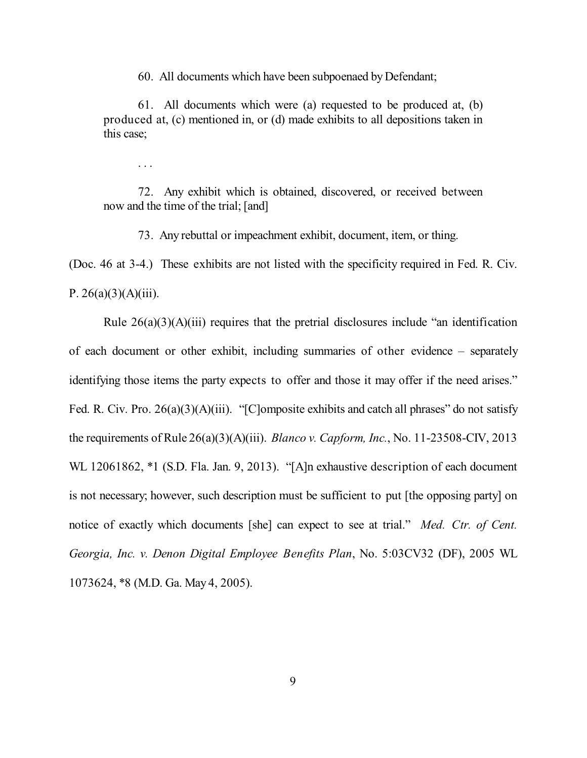60. All documents which have been subpoenaed by Defendant;

61. All documents which were (a) requested to be produced at, (b) produced at, (c) mentioned in, or (d) made exhibits to all depositions taken in this case;

. . .

72. Any exhibit which is obtained, discovered, or received between now and the time of the trial; [and]

73. Any rebuttal or impeachment exhibit, document, item, or thing.

(Doc. 46 at 3-4.) These exhibits are not listed with the specificity required in Fed. R. Civ. P.  $26(a)(3)(A)(iii)$ .

Rule 26(a)(3)(A)(iii) requires that the pretrial disclosures include "an identification of each document or other exhibit, including summaries of other evidence – separately identifying those items the party expects to offer and those it may offer if the need arises." Fed. R. Civ. Pro. 26(a)(3)(A)(iii). "[C]omposite exhibits and catch all phrases" do not satisfy the requirements of Rule 26(a)(3)(A)(iii). *Blanco v. Capform, Inc.*, No. 11-23508-CIV, 2013 WL 12061862, \*1 (S.D. Fla. Jan. 9, 2013). "[A]n exhaustive description of each document is not necessary; however, such description must be sufficient to put [the opposing party] on notice of exactly which documents [she] can expect to see at trial." *Med. Ctr. of Cent. Georgia, Inc. v. Denon Digital Employee Benefits Plan*, No. 5:03CV32 (DF), 2005 WL 1073624, \*8 (M.D. Ga. May 4, 2005).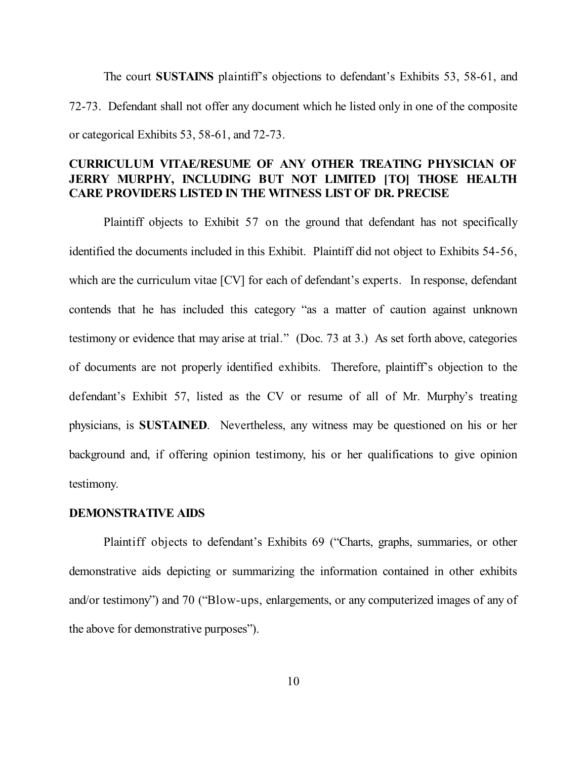The court **SUSTAINS** plaintiff's objections to defendant's Exhibits 53, 58-61, and 72-73. Defendant shall not offer any document which he listed only in one of the composite or categorical Exhibits 53, 58-61, and 72-73.

# **CURRICULUM VITAE/RESUME OF ANY OTHER TREATING PHYSICIAN OF JERRY MURPHY, INCLUDING BUT NOT LIMITED [TO] THOSE HEALTH CARE PROVIDERS LISTED IN THE WITNESS LIST OF DR. PRECISE**

Plaintiff objects to Exhibit 57 on the ground that defendant has not specifically identified the documents included in this Exhibit. Plaintiff did not object to Exhibits 54-56, which are the curriculum vitae [CV] for each of defendant's experts. In response, defendant contends that he has included this category "as a matter of caution against unknown testimony or evidence that may arise at trial." (Doc. 73 at 3.) As set forth above, categories of documents are not properly identified exhibits. Therefore, plaintiff's objection to the defendant's Exhibit 57, listed as the CV or resume of all of Mr. Murphy's treating physicians, is **SUSTAINED**. Nevertheless, any witness may be questioned on his or her background and, if offering opinion testimony, his or her qualifications to give opinion testimony.

#### **DEMONSTRATIVE AIDS**

Plaintiff objects to defendant's Exhibits 69 ("Charts, graphs, summaries, or other demonstrative aids depicting or summarizing the information contained in other exhibits and/or testimony") and 70 ("Blow-ups, enlargements, or any computerized images of any of the above for demonstrative purposes").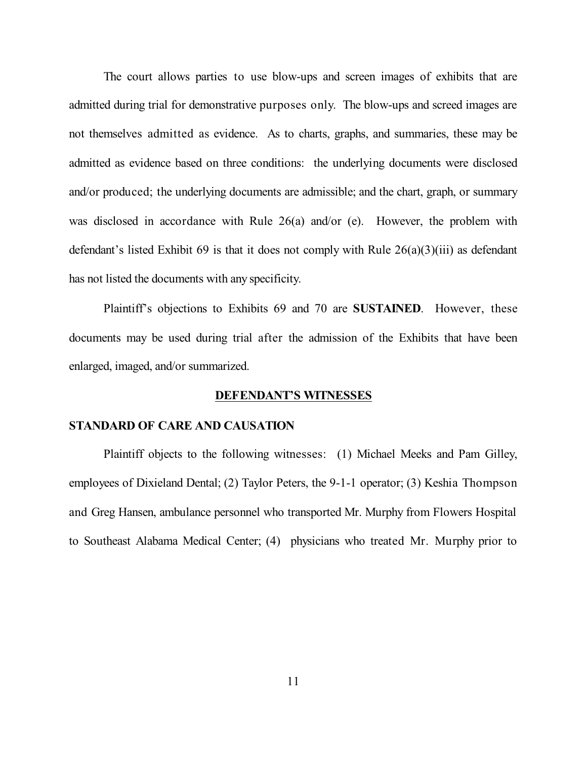The court allows parties to use blow-ups and screen images of exhibits that are admitted during trial for demonstrative purposes only. The blow-ups and screed images are not themselves admitted as evidence. As to charts, graphs, and summaries, these may be admitted as evidence based on three conditions: the underlying documents were disclosed and/or produced; the underlying documents are admissible; and the chart, graph, or summary was disclosed in accordance with Rule 26(a) and/or (e). However, the problem with defendant's listed Exhibit 69 is that it does not comply with Rule  $26(a)(3)(iii)$  as defendant has not listed the documents with any specificity.

Plaintiff's objections to Exhibits 69 and 70 are **SUSTAINED**. However, these documents may be used during trial after the admission of the Exhibits that have been enlarged, imaged, and/or summarized.

#### **DEFENDANT'S WITNESSES**

#### **STANDARD OF CARE AND CAUSATION**

Plaintiff objects to the following witnesses: (1) Michael Meeks and Pam Gilley, employees of Dixieland Dental; (2) Taylor Peters, the 9-1-1 operator; (3) Keshia Thompson and Greg Hansen, ambulance personnel who transported Mr. Murphy from Flowers Hospital to Southeast Alabama Medical Center; (4) physicians who treated Mr. Murphy prior to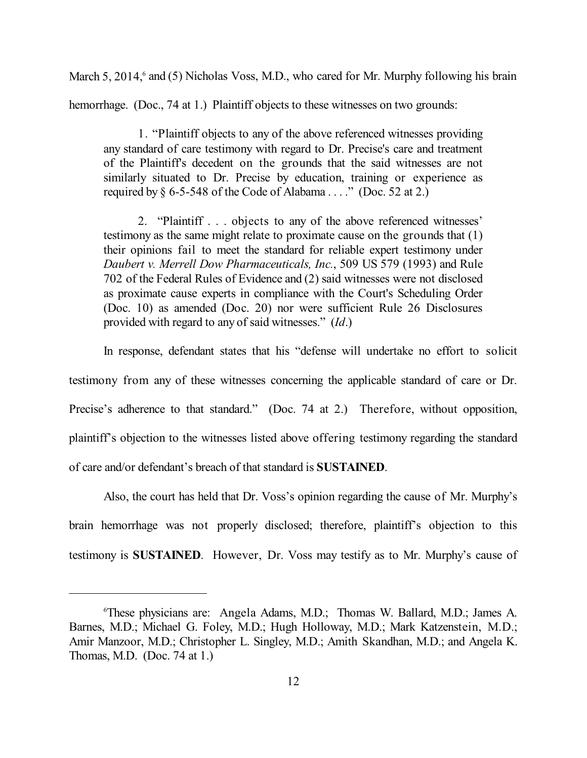March 5, 2014,<sup>6</sup> and (5) Nicholas Voss, M.D., who cared for Mr. Murphy following his brain hemorrhage. (Doc., 74 at 1.) Plaintiff objects to these witnesses on two grounds:

1. "Plaintiff objects to any of the above referenced witnesses providing any standard of care testimony with regard to Dr. Precise's care and treatment of the Plaintiff's decedent on the grounds that the said witnesses are not similarly situated to Dr. Precise by education, training or experience as required by  $\S 6$ -5-548 of the Code of Alabama . . . ." (Doc. 52 at 2.)

2. "Plaintiff . . . objects to any of the above referenced witnesses' testimony as the same might relate to proximate cause on the grounds that (1) their opinions fail to meet the standard for reliable expert testimony under *Daubert v. Merrell Dow Pharmaceuticals, Inc.*, 509 US 579 (1993) and Rule 702 of the Federal Rules of Evidence and (2) said witnesses were not disclosed as proximate cause experts in compliance with the Court's Scheduling Order (Doc. 10) as amended (Doc. 20) nor were sufficient Rule 26 Disclosures provided with regard to any of said witnesses." (*Id*.)

In response, defendant states that his "defense will undertake no effort to solicit testimony from any of these witnesses concerning the applicable standard of care or Dr. Precise's adherence to that standard." (Doc. 74 at 2.) Therefore, without opposition, plaintiff's objection to the witnesses listed above offering testimony regarding the standard of care and/or defendant's breach of that standard is **SUSTAINED**.

Also, the court has held that Dr. Voss's opinion regarding the cause of Mr. Murphy's brain hemorrhage was not properly disclosed; therefore, plaintiff's objection to this testimony is **SUSTAINED**. However, Dr. Voss may testify as to Mr. Murphy's cause of

<sup>6</sup> These physicians are: Angela Adams, M.D.; Thomas W. Ballard, M.D.; James A. Barnes, M.D.; Michael G. Foley, M.D.; Hugh Holloway, M.D.; Mark Katzenstein, M.D.; Amir Manzoor, M.D.; Christopher L. Singley, M.D.; Amith Skandhan, M.D.; and Angela K. Thomas, M.D. (Doc. 74 at 1.)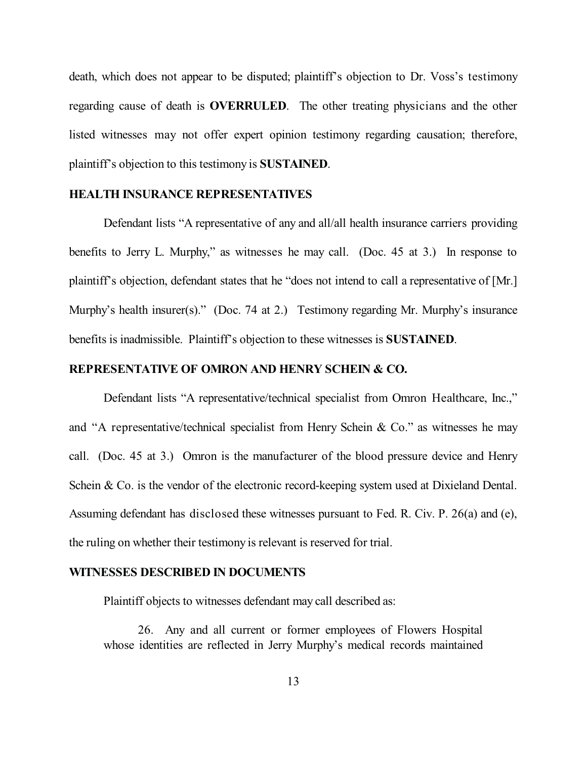death, which does not appear to be disputed; plaintiff's objection to Dr. Voss's testimony regarding cause of death is **OVERRULED**. The other treating physicians and the other listed witnesses may not offer expert opinion testimony regarding causation; therefore, plaintiff's objection to this testimony is **SUSTAINED**.

### **HEALTH INSURANCE REPRESENTATIVES**

Defendant lists "A representative of any and all/all health insurance carriers providing benefits to Jerry L. Murphy," as witnesses he may call. (Doc. 45 at 3.) In response to plaintiff's objection, defendant states that he "does not intend to call a representative of [Mr.] Murphy's health insurer(s)." (Doc. 74 at 2.) Testimony regarding Mr. Murphy's insurance benefits is inadmissible. Plaintiff's objection to these witnesses is **SUSTAINED**.

## **REPRESENTATIVE OF OMRON AND HENRY SCHEIN & CO.**

Defendant lists "A representative/technical specialist from Omron Healthcare, Inc.," and "A representative/technical specialist from Henry Schein & Co." as witnesses he may call. (Doc. 45 at 3.) Omron is the manufacturer of the blood pressure device and Henry Schein & Co. is the vendor of the electronic record-keeping system used at Dixieland Dental. Assuming defendant has disclosed these witnesses pursuant to Fed. R. Civ. P. 26(a) and (e), the ruling on whether their testimony is relevant is reserved for trial.

### **WITNESSES DESCRIBED IN DOCUMENTS**

Plaintiff objects to witnesses defendant may call described as:

26. Any and all current or former employees of Flowers Hospital whose identities are reflected in Jerry Murphy's medical records maintained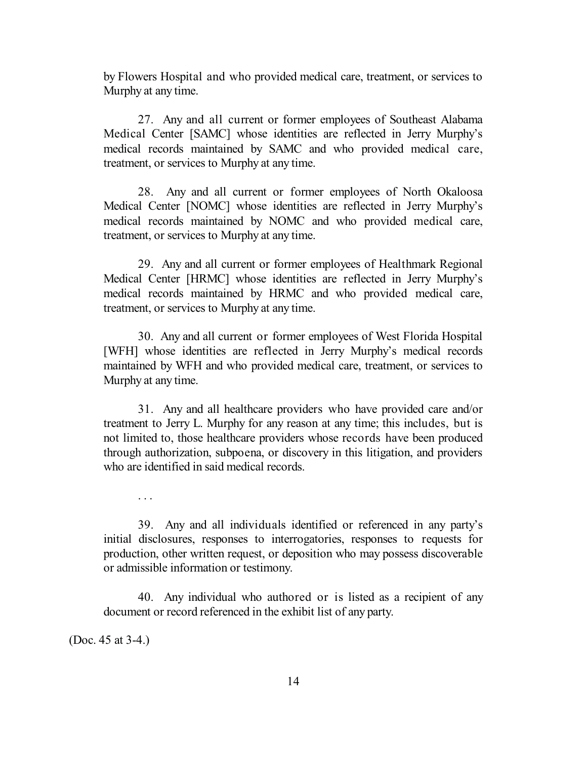by Flowers Hospital and who provided medical care, treatment, or services to Murphy at any time.

27. Any and all current or former employees of Southeast Alabama Medical Center [SAMC] whose identities are reflected in Jerry Murphy's medical records maintained by SAMC and who provided medical care, treatment, or services to Murphy at any time.

28. Any and all current or former employees of North Okaloosa Medical Center [NOMC] whose identities are reflected in Jerry Murphy's medical records maintained by NOMC and who provided medical care, treatment, or services to Murphy at any time.

29. Any and all current or former employees of Healthmark Regional Medical Center [HRMC] whose identities are reflected in Jerry Murphy's medical records maintained by HRMC and who provided medical care, treatment, or services to Murphy at any time.

30. Any and all current or former employees of West Florida Hospital [WFH] whose identities are reflected in Jerry Murphy's medical records maintained by WFH and who provided medical care, treatment, or services to Murphy at any time.

31. Any and all healthcare providers who have provided care and/or treatment to Jerry L. Murphy for any reason at any time; this includes, but is not limited to, those healthcare providers whose records have been produced through authorization, subpoena, or discovery in this litigation, and providers who are identified in said medical records.

39. Any and all individuals identified or referenced in any party's initial disclosures, responses to interrogatories, responses to requests for production, other written request, or deposition who may possess discoverable or admissible information or testimony.

40. Any individual who authored or is listed as a recipient of any document or record referenced in the exhibit list of any party.

(Doc. 45 at 3-4.)

. . .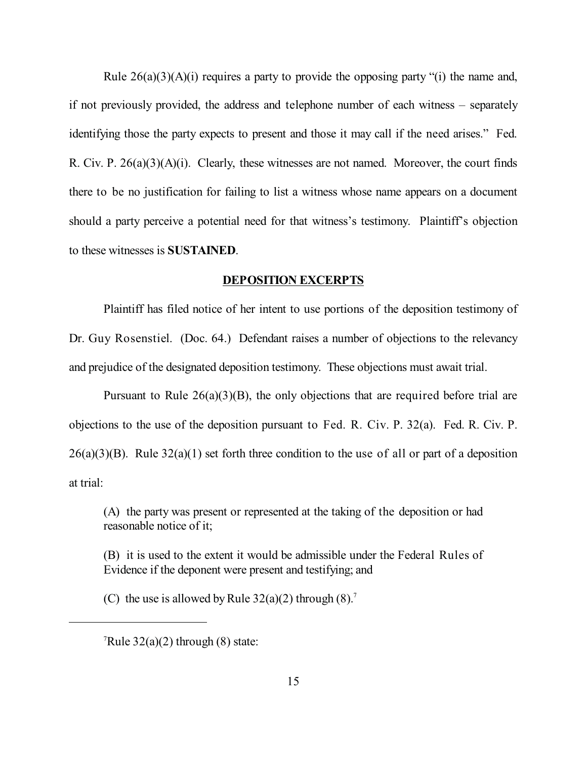Rule 26(a)(3)(A)(i) requires a party to provide the opposing party "(i) the name and, if not previously provided, the address and telephone number of each witness – separately identifying those the party expects to present and those it may call if the need arises." Fed. R. Civ. P. 26(a)(3)(A)(i). Clearly, these witnesses are not named. Moreover, the court finds there to be no justification for failing to list a witness whose name appears on a document should a party perceive a potential need for that witness's testimony. Plaintiff's objection to these witnesses is **SUSTAINED**.

# **DEPOSITION EXCERPTS**

Plaintiff has filed notice of her intent to use portions of the deposition testimony of Dr. Guy Rosenstiel. (Doc. 64.) Defendant raises a number of objections to the relevancy and prejudice of the designated deposition testimony. These objections must await trial.

Pursuant to Rule  $26(a)(3)(B)$ , the only objections that are required before trial are objections to the use of the deposition pursuant to Fed. R. Civ. P. 32(a). Fed. R. Civ. P.  $26(a)(3)(B)$ . Rule  $32(a)(1)$  set forth three condition to the use of all or part of a deposition at trial:

(A) the party was present or represented at the taking of the deposition or had reasonable notice of it;

(B) it is used to the extent it would be admissible under the Federal Rules of Evidence if the deponent were present and testifying; and

(C) the use is allowed by Rule  $32(a)(2)$  through  $(8)$ .<sup>7</sup>

 $\sqrt{7}$ Rule 32(a)(2) through (8) state: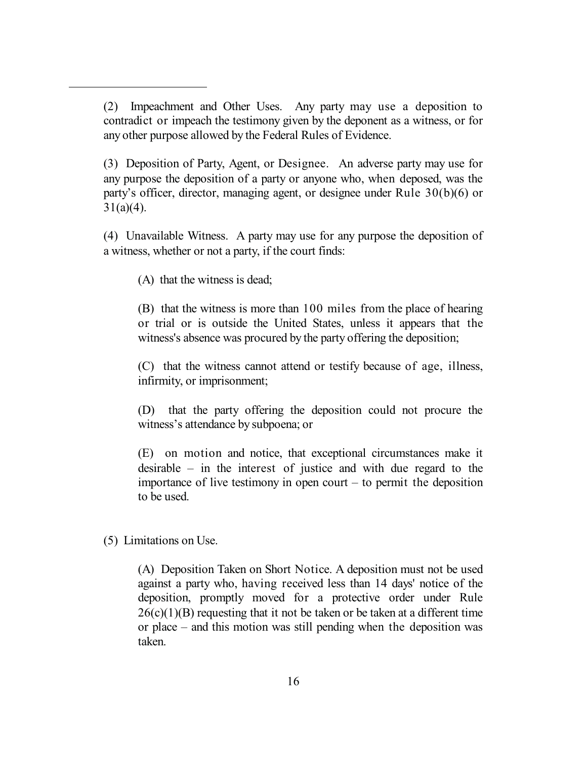(2) Impeachment and Other Uses. Any party may use a deposition to contradict or impeach the testimony given by the deponent as a witness, or for any other purpose allowed by the Federal Rules of Evidence.

(3) Deposition of Party, Agent, or Designee. An adverse party may use for any purpose the deposition of a party or anyone who, when deposed, was the party's officer, director, managing agent, or designee under Rule 30(b)(6) or  $31(a)(4)$ .

(4) Unavailable Witness. A party may use for any purpose the deposition of a witness, whether or not a party, if the court finds:

(A) that the witness is dead;

(B) that the witness is more than 100 miles from the place of hearing or trial or is outside the United States, unless it appears that the witness's absence was procured by the party offering the deposition;

(C) that the witness cannot attend or testify because of age, illness, infirmity, or imprisonment;

(D) that the party offering the deposition could not procure the witness's attendance by subpoena; or

(E) on motion and notice, that exceptional circumstances make it desirable – in the interest of justice and with due regard to the importance of live testimony in open court – to permit the deposition to be used.

(5) Limitations on Use.

(A) Deposition Taken on Short Notice. A deposition must not be used against a party who, having received less than 14 days' notice of the deposition, promptly moved for a protective order under Rule  $26(c)(1)(B)$  requesting that it not be taken or be taken at a different time or place – and this motion was still pending when the deposition was taken.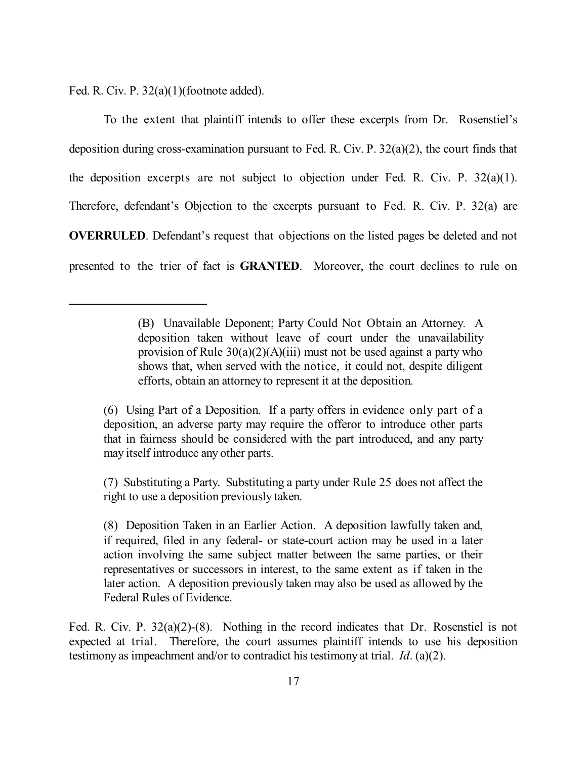Fed. R. Civ. P. 32(a)(1)(footnote added).

To the extent that plaintiff intends to offer these excerpts from Dr. Rosenstiel's deposition during cross-examination pursuant to Fed. R. Civ. P. 32(a)(2), the court finds that the deposition excerpts are not subject to objection under Fed. R. Civ. P.  $32(a)(1)$ . Therefore, defendant's Objection to the excerpts pursuant to Fed. R. Civ. P. 32(a) are **OVERRULED**. Defendant's request that objections on the listed pages be deleted and not presented to the trier of fact is **GRANTED**. Moreover, the court declines to rule on

(6) Using Part of a Deposition. If a party offers in evidence only part of a deposition, an adverse party may require the offeror to introduce other parts that in fairness should be considered with the part introduced, and any party may itself introduce any other parts.

(7) Substituting a Party. Substituting a party under Rule 25 does not affect the right to use a deposition previously taken.

(8) Deposition Taken in an Earlier Action. A deposition lawfully taken and, if required, filed in any federal- or state-court action may be used in a later action involving the same subject matter between the same parties, or their representatives or successors in interest, to the same extent as if taken in the later action. A deposition previously taken may also be used as allowed by the Federal Rules of Evidence.

Fed. R. Civ. P. 32(a)(2)-(8). Nothing in the record indicates that Dr. Rosenstiel is not expected at trial. Therefore, the court assumes plaintiff intends to use his deposition testimony as impeachment and/or to contradict his testimony at trial. *Id*. (a)(2).

<sup>(</sup>B) Unavailable Deponent; Party Could Not Obtain an Attorney. A deposition taken without leave of court under the unavailability provision of Rule  $30(a)(2)(A)(iii)$  must not be used against a party who shows that, when served with the notice, it could not, despite diligent efforts, obtain an attorney to represent it at the deposition.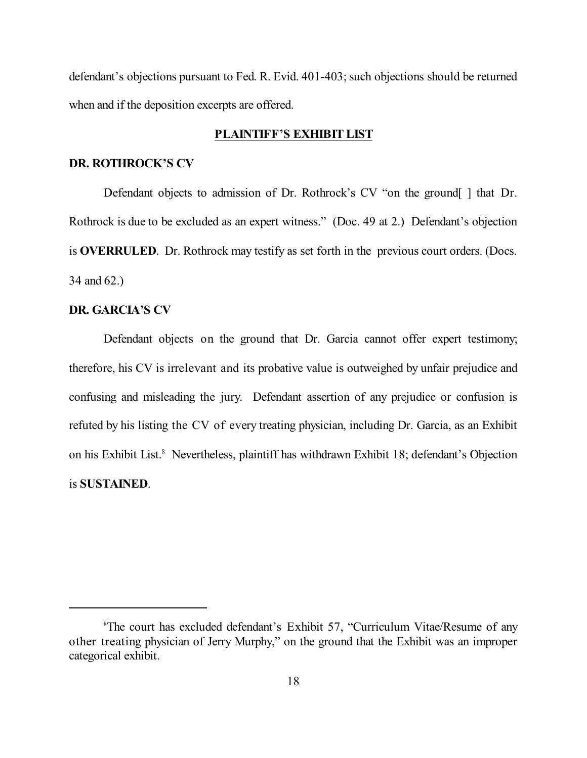defendant's objections pursuant to Fed. R. Evid. 401-403; such objections should be returned when and if the deposition excerpts are offered.

### **PLAINTIFF'S EXHIBIT LIST**

## **DR. ROTHROCK'S CV**

Defendant objects to admission of Dr. Rothrock's CV "on the ground[] that Dr. Rothrock is due to be excluded as an expert witness." (Doc. 49 at 2.) Defendant's objection is **OVERRULED**. Dr. Rothrock may testify as set forth in the previous court orders. (Docs. 34 and 62.)

### **DR. GARCIA'S CV**

Defendant objects on the ground that Dr. Garcia cannot offer expert testimony; therefore, his CV is irrelevant and its probative value is outweighed by unfair prejudice and confusing and misleading the jury. Defendant assertion of any prejudice or confusion is refuted by his listing the CV of every treating physician, including Dr. Garcia, as an Exhibit on his Exhibit List.<sup>8</sup> Nevertheless, plaintiff has withdrawn Exhibit 18; defendant's Objection is **SUSTAINED**.

<sup>8</sup> The court has excluded defendant's Exhibit 57, "Curriculum Vitae/Resume of any other treating physician of Jerry Murphy," on the ground that the Exhibit was an improper categorical exhibit.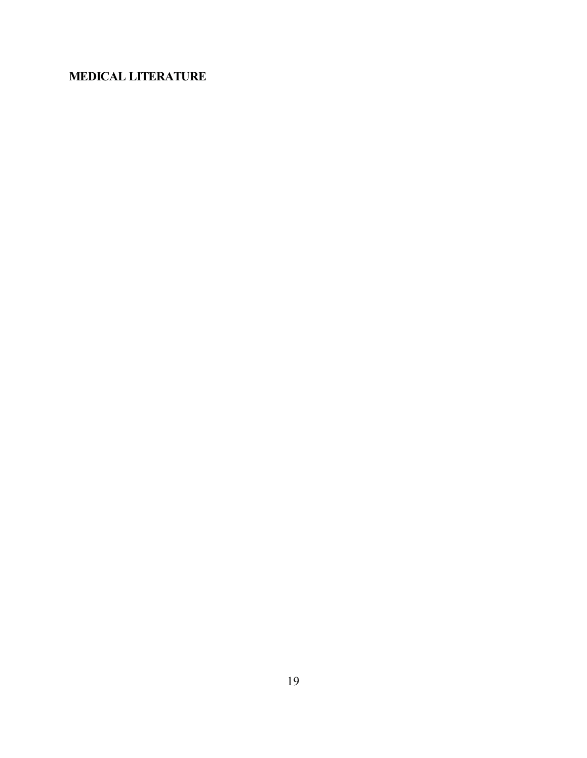# **MEDICAL LITERATURE**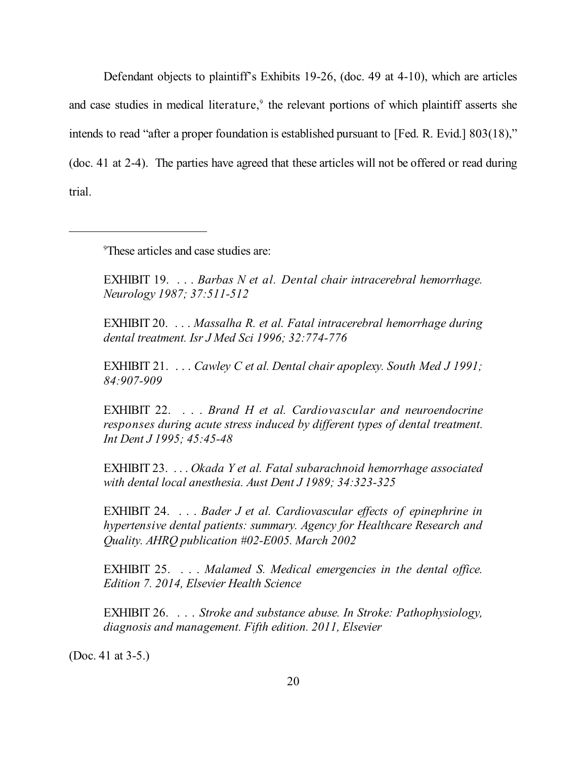Defendant objects to plaintiff's Exhibits 19-26, (doc. 49 at 4-10), which are articles and case studies in medical literature,<sup>9</sup> the relevant portions of which plaintiff asserts she intends to read "after a proper foundation is established pursuant to [Fed. R. Evid.] 803(18)," (doc. 41 at 2-4). The parties have agreed that these articles will not be offered or read during trial.

9 These articles and case studies are:

EXHIBIT 19. . . . *Barbas N et al. Dental chair intracerebral hemorrhage. Neurology 1987; 37:511-512*

EXHIBIT 20. . . . *Massalha R. et al. Fatal intracerebral hemorrhage during dental treatment. Isr J Med Sci 1996; 32:774-776* 

EXHIBIT 21. . . . *Cawley C et al. Dental chair apoplexy. South Med J 1991; 84:907-909*

EXHIBIT 22. . . . *Brand H et al. Cardiovascular and neuroendocrine responses during acute stress induced by different types of dental treatment. Int Dent J 1995; 45:45-48*

EXHIBIT 23. . . . *Okada Y et al. Fatal subarachnoid hemorrhage associated with dental local anesthesia. Aust Dent J 1989; 34:323-325*

EXHIBIT 24. . . . *Bader J et al. Cardiovascular effects of epinephrine in hypertensive dental patients: summary. Agency for Healthcare Research and Quality. AHRQ publication #02-E005. March 2002*

EXHIBIT 25. . . . *Malamed S. Medical emergencies in the dental office. Edition 7. 2014, Elsevier Health Science*

EXHIBIT 26. . . . *Stroke and substance abuse. In Stroke: Pathophysiology, diagnosis and management. Fifth edition. 2011, Elsevier*

(Doc. 41 at 3-5.)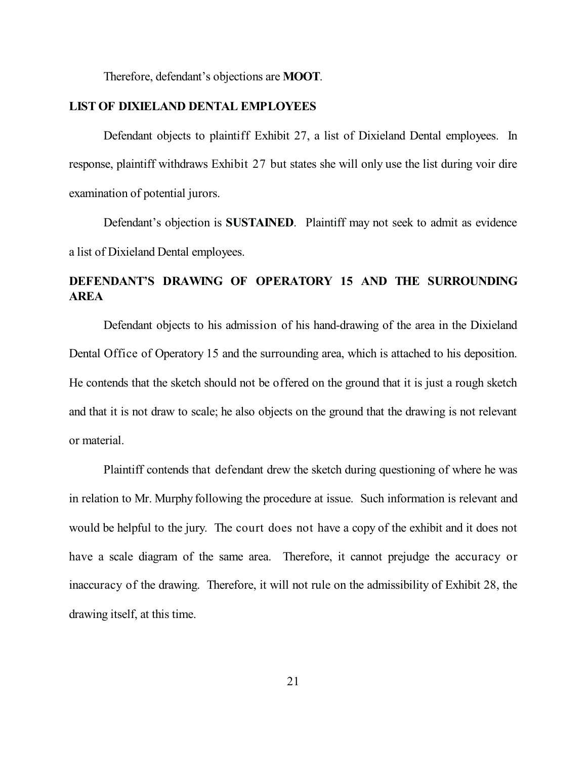Therefore, defendant's objections are **MOOT**.

### **LIST OF DIXIELAND DENTAL EMPLOYEES**

Defendant objects to plaintiff Exhibit 27, a list of Dixieland Dental employees. In response, plaintiff withdraws Exhibit 27 but states she will only use the list during voir dire examination of potential jurors.

Defendant's objection is **SUSTAINED**. Plaintiff may not seek to admit as evidence a list of Dixieland Dental employees.

# **DEFENDANT'S DRAWING OF OPERATORY 15 AND THE SURROUNDING AREA**

Defendant objects to his admission of his hand-drawing of the area in the Dixieland Dental Office of Operatory 15 and the surrounding area, which is attached to his deposition. He contends that the sketch should not be offered on the ground that it is just a rough sketch and that it is not draw to scale; he also objects on the ground that the drawing is not relevant or material.

Plaintiff contends that defendant drew the sketch during questioning of where he was in relation to Mr. Murphy following the procedure at issue. Such information is relevant and would be helpful to the jury. The court does not have a copy of the exhibit and it does not have a scale diagram of the same area. Therefore, it cannot prejudge the accuracy or inaccuracy of the drawing. Therefore, it will not rule on the admissibility of Exhibit 28, the drawing itself, at this time.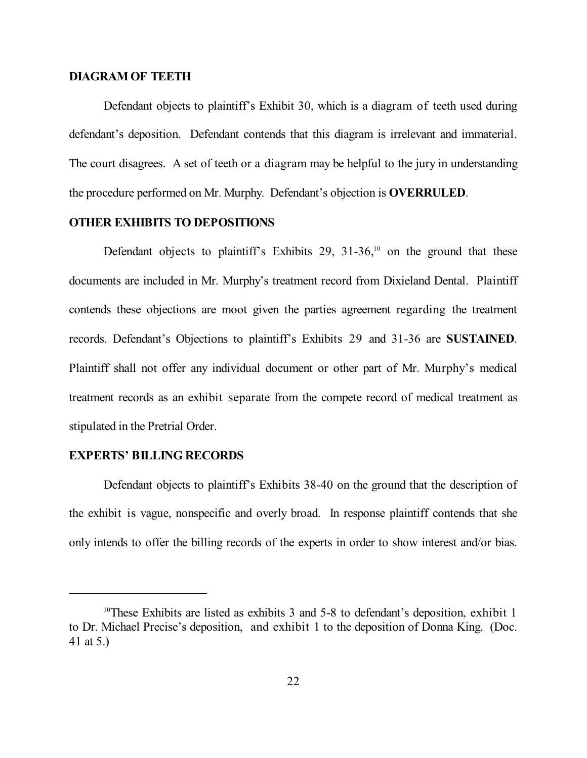### **DIAGRAM OF TEETH**

Defendant objects to plaintiff's Exhibit 30, which is a diagram of teeth used during defendant's deposition. Defendant contends that this diagram is irrelevant and immaterial. The court disagrees. A set of teeth or a diagram may be helpful to the jury in understanding the procedure performed on Mr. Murphy. Defendant's objection is **OVERRULED**.

# **OTHER EXHIBITS TO DEPOSITIONS**

Defendant objects to plaintiff's Exhibits 29,  $31-36$ ,<sup>10</sup> on the ground that these documents are included in Mr. Murphy's treatment record from Dixieland Dental. Plaintiff contends these objections are moot given the parties agreement regarding the treatment records. Defendant's Objections to plaintiff's Exhibits 29 and 31-36 are **SUSTAINED**. Plaintiff shall not offer any individual document or other part of Mr. Murphy's medical treatment records as an exhibit separate from the compete record of medical treatment as stipulated in the Pretrial Order.

### **EXPERTS' BILLING RECORDS**

Defendant objects to plaintiff's Exhibits 38-40 on the ground that the description of the exhibit is vague, nonspecific and overly broad. In response plaintiff contends that she only intends to offer the billing records of the experts in order to show interest and/or bias.

 $10$ <sup>10</sup>These Exhibits are listed as exhibits 3 and 5-8 to defendant's deposition, exhibit 1 to Dr. Michael Precise's deposition, and exhibit 1 to the deposition of Donna King. (Doc. 41 at 5.)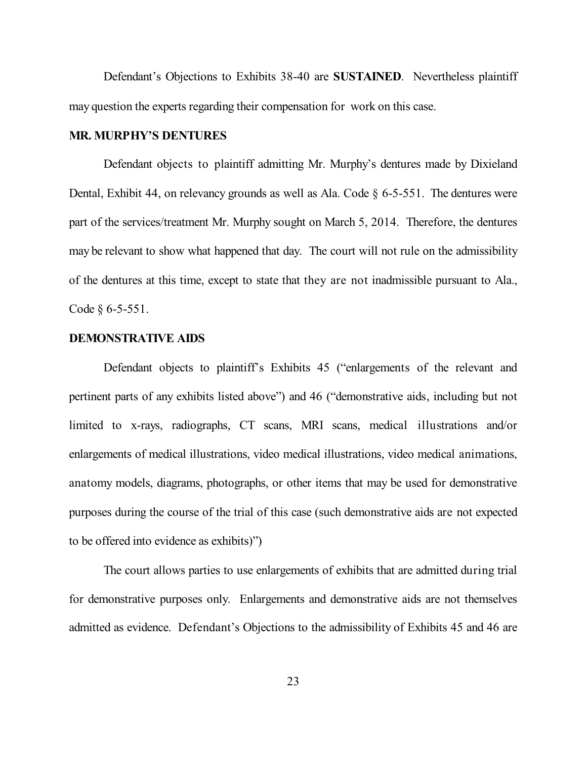Defendant's Objections to Exhibits 38-40 are **SUSTAINED**. Nevertheless plaintiff may question the experts regarding their compensation for work on this case.

#### **MR. MURPHY'S DENTURES**

Defendant objects to plaintiff admitting Mr. Murphy's dentures made by Dixieland Dental, Exhibit 44, on relevancy grounds as well as Ala. Code § 6-5-551. The dentures were part of the services/treatment Mr. Murphy sought on March 5, 2014. Therefore, the dentures may be relevant to show what happened that day. The court will not rule on the admissibility of the dentures at this time, except to state that they are not inadmissible pursuant to Ala., Code § 6-5-551.

### **DEMONSTRATIVE AIDS**

Defendant objects to plaintiff's Exhibits 45 ("enlargements of the relevant and pertinent parts of any exhibits listed above") and 46 ("demonstrative aids, including but not limited to x-rays, radiographs, CT scans, MRI scans, medical illustrations and/or enlargements of medical illustrations, video medical illustrations, video medical animations, anatomy models, diagrams, photographs, or other items that may be used for demonstrative purposes during the course of the trial of this case (such demonstrative aids are not expected to be offered into evidence as exhibits)")

The court allows parties to use enlargements of exhibits that are admitted during trial for demonstrative purposes only. Enlargements and demonstrative aids are not themselves admitted as evidence. Defendant's Objections to the admissibility of Exhibits 45 and 46 are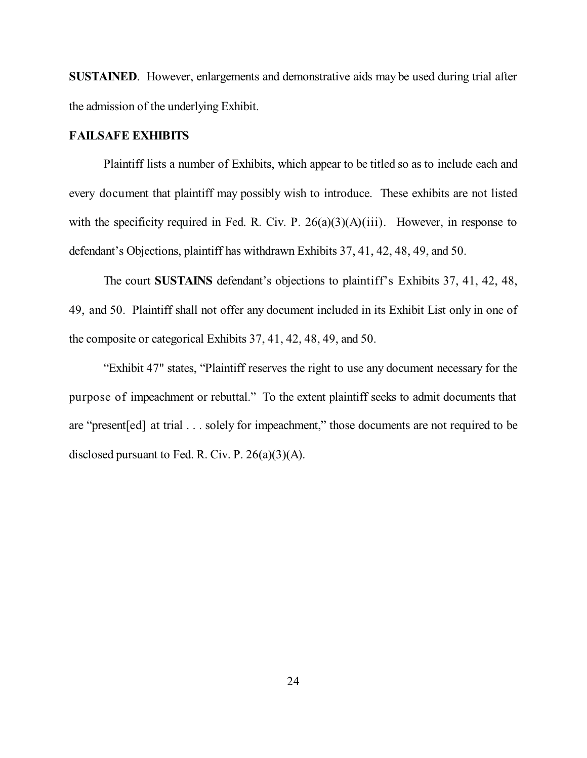**SUSTAINED.** However, enlargements and demonstrative aids may be used during trial after the admission of the underlying Exhibit.

### **FAILSAFE EXHIBITS**

Plaintiff lists a number of Exhibits, which appear to be titled so as to include each and every document that plaintiff may possibly wish to introduce. These exhibits are not listed with the specificity required in Fed. R. Civ. P.  $26(a)(3)(A)(iii)$ . However, in response to defendant's Objections, plaintiff has withdrawn Exhibits 37, 41, 42, 48, 49, and 50.

The court **SUSTAINS** defendant's objections to plaintiff's Exhibits 37, 41, 42, 48, 49, and 50. Plaintiff shall not offer any document included in its Exhibit List only in one of the composite or categorical Exhibits 37, 41, 42, 48, 49, and 50.

"Exhibit 47" states, "Plaintiff reserves the right to use any document necessary for the purpose of impeachment or rebuttal." To the extent plaintiff seeks to admit documents that are "present[ed] at trial . . . solely for impeachment," those documents are not required to be disclosed pursuant to Fed. R. Civ. P.  $26(a)(3)(A)$ .